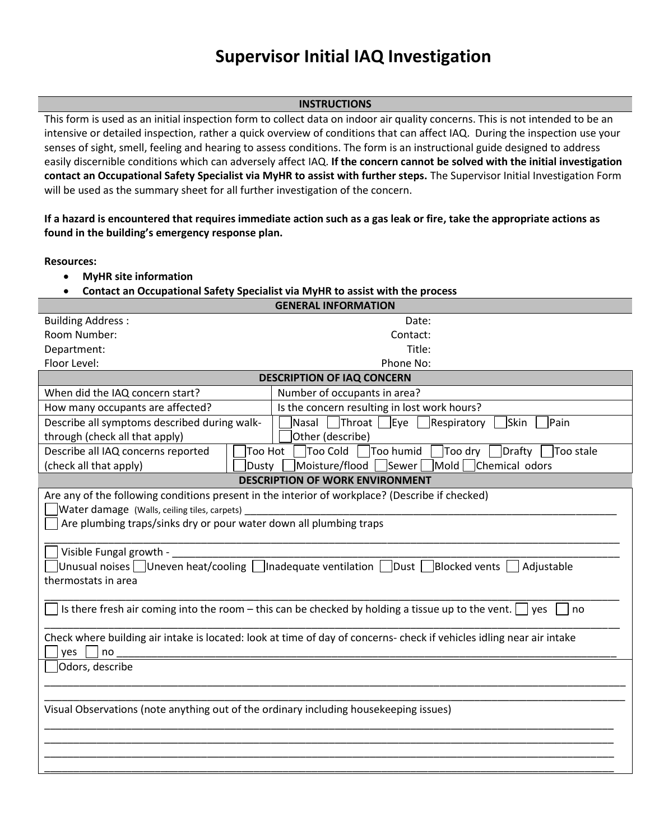## **Supervisor Initial IAQ Investigation**

## **INSTRUCTIONS**

This form is used as an initial inspection form to collect data on indoor air quality concerns. This is not intended to be an intensive or detailed inspection, rather a quick overview of conditions that can affect IAQ. During the inspection use your senses of sight, smell, feeling and hearing to assess conditions. The form is an instructional guide designed to address easily discernible conditions which can adversely affect IAQ. **If the concern cannot be solved with the initial investigation contact an Occupational Safety Specialist via MyHR to assist with further steps.** The Supervisor Initial Investigation Form will be used as the summary sheet for all further investigation of the concern.

**If a hazard is encountered that requires immediate action such as a gas leak or fire, take the appropriate actions as found in the building's emergency response plan.**

**Resources:**

**MyHR site information**

## **Contact an Occupational Safety Specialist via MyHR to assist with the process**

| <b>GENERAL INFORMATION</b>                                                                                                                                                                                                                                                                                                                                                                                                                                                                                                                                                                                                                                                            |                                                                                    |  |  |  |
|---------------------------------------------------------------------------------------------------------------------------------------------------------------------------------------------------------------------------------------------------------------------------------------------------------------------------------------------------------------------------------------------------------------------------------------------------------------------------------------------------------------------------------------------------------------------------------------------------------------------------------------------------------------------------------------|------------------------------------------------------------------------------------|--|--|--|
| <b>Building Address:</b>                                                                                                                                                                                                                                                                                                                                                                                                                                                                                                                                                                                                                                                              | Date:                                                                              |  |  |  |
| Room Number:                                                                                                                                                                                                                                                                                                                                                                                                                                                                                                                                                                                                                                                                          | Contact:                                                                           |  |  |  |
| Department:                                                                                                                                                                                                                                                                                                                                                                                                                                                                                                                                                                                                                                                                           | Title:                                                                             |  |  |  |
| Floor Level:                                                                                                                                                                                                                                                                                                                                                                                                                                                                                                                                                                                                                                                                          | Phone No:                                                                          |  |  |  |
| <b>DESCRIPTION OF IAQ CONCERN</b>                                                                                                                                                                                                                                                                                                                                                                                                                                                                                                                                                                                                                                                     |                                                                                    |  |  |  |
| When did the IAQ concern start?                                                                                                                                                                                                                                                                                                                                                                                                                                                                                                                                                                                                                                                       | Number of occupants in area?                                                       |  |  |  |
| How many occupants are affected?                                                                                                                                                                                                                                                                                                                                                                                                                                                                                                                                                                                                                                                      | Is the concern resulting in lost work hours?                                       |  |  |  |
| Describe all symptoms described during walk-                                                                                                                                                                                                                                                                                                                                                                                                                                                                                                                                                                                                                                          | Respiratory<br>Throat $Eve$<br>Skin<br>Pain<br>Nasal                               |  |  |  |
| Other (describe)<br>through (check all that apply)                                                                                                                                                                                                                                                                                                                                                                                                                                                                                                                                                                                                                                    |                                                                                    |  |  |  |
| Describe all IAQ concerns reported                                                                                                                                                                                                                                                                                                                                                                                                                                                                                                                                                                                                                                                    | Too Cold<br>Drafty<br>Too stale<br>Too Hot<br>Too humid<br>$\vert$ Too dry $\vert$ |  |  |  |
| (check all that apply)                                                                                                                                                                                                                                                                                                                                                                                                                                                                                                                                                                                                                                                                | Mold Chemical odors<br>Moisture/flood<br>Sewer<br>Dusty                            |  |  |  |
|                                                                                                                                                                                                                                                                                                                                                                                                                                                                                                                                                                                                                                                                                       | <b>DESCRIPTION OF WORK ENVIRONMENT</b>                                             |  |  |  |
| Are any of the following conditions present in the interior of workplace? (Describe if checked)<br>Water damage (Walls, ceiling tiles, carpets)<br>Are plumbing traps/sinks dry or pour water down all plumbing traps<br>Visible Fungal growth -<br>Unusual noises $\Box$ Uneven heat/cooling $\Box$ Inadequate ventilation $\Box$ Dust $\Box$<br><b>Blocked vents</b><br>Adjustable<br>thermostats in area<br>Is there fresh air coming into the room - this can be checked by holding a tissue up to the vent.<br>no<br>ves<br>Check where building air intake is located: look at time of day of concerns-check if vehicles idling near air intake<br>no<br>ves<br>Odors, describe |                                                                                    |  |  |  |
| Visual Observations (note anything out of the ordinary including housekeeping issues)                                                                                                                                                                                                                                                                                                                                                                                                                                                                                                                                                                                                 |                                                                                    |  |  |  |